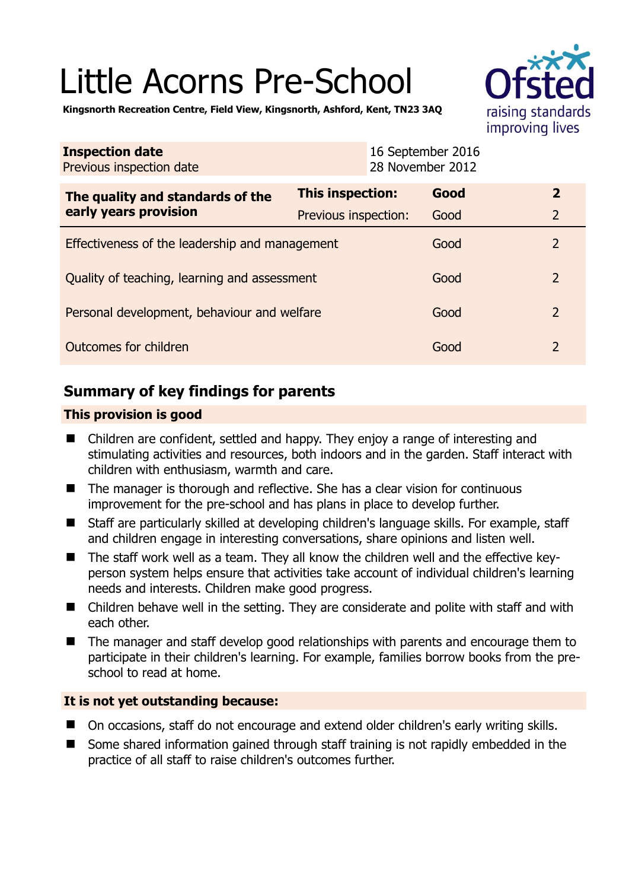# Little Acorns Pre-School



**Kingsnorth Recreation Centre, Field View, Kingsnorth, Ashford, Kent, TN23 3AQ** 

| <b>Inspection date</b><br>Previous inspection date        |                      | 16 September 2016<br>28 November 2012 |                |
|-----------------------------------------------------------|----------------------|---------------------------------------|----------------|
| The quality and standards of the<br>early years provision | This inspection:     | Good                                  | $\overline{2}$ |
|                                                           | Previous inspection: | Good                                  | $\overline{2}$ |
| Effectiveness of the leadership and management            |                      | Good                                  | 2              |
| Quality of teaching, learning and assessment              |                      | Good                                  | $\overline{2}$ |
| Personal development, behaviour and welfare               |                      | Good                                  | $\overline{2}$ |
| Outcomes for children                                     |                      | Good                                  | 2              |

# **Summary of key findings for parents**

## **This provision is good**

- Children are confident, settled and happy. They enjoy a range of interesting and stimulating activities and resources, both indoors and in the garden. Staff interact with children with enthusiasm, warmth and care.
- The manager is thorough and reflective. She has a clear vision for continuous improvement for the pre-school and has plans in place to develop further.
- Staff are particularly skilled at developing children's language skills. For example, staff and children engage in interesting conversations, share opinions and listen well.
- The staff work well as a team. They all know the children well and the effective keyperson system helps ensure that activities take account of individual children's learning needs and interests. Children make good progress.
- Children behave well in the setting. They are considerate and polite with staff and with each other.
- The manager and staff develop good relationships with parents and encourage them to participate in their children's learning. For example, families borrow books from the preschool to read at home.

## **It is not yet outstanding because:**

- On occasions, staff do not encourage and extend older children's early writing skills.
- Some shared information gained through staff training is not rapidly embedded in the practice of all staff to raise children's outcomes further.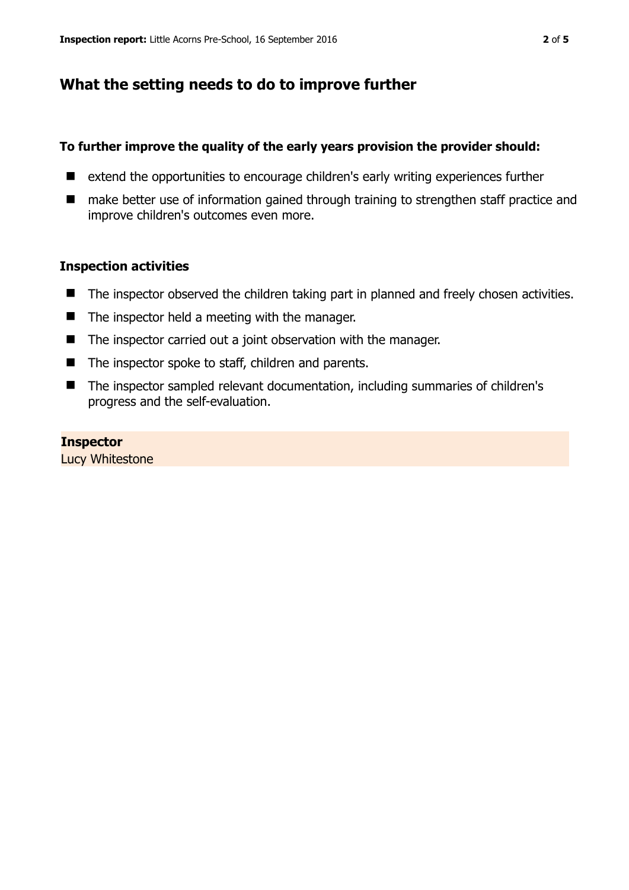# **What the setting needs to do to improve further**

## **To further improve the quality of the early years provision the provider should:**

- extend the opportunities to encourage children's early writing experiences further
- make better use of information gained through training to strengthen staff practice and improve children's outcomes even more.

### **Inspection activities**

- The inspector observed the children taking part in planned and freely chosen activities.
- $\blacksquare$  The inspector held a meeting with the manager.
- The inspector carried out a joint observation with the manager.
- The inspector spoke to staff, children and parents.
- The inspector sampled relevant documentation, including summaries of children's progress and the self-evaluation.

#### **Inspector**

Lucy Whitestone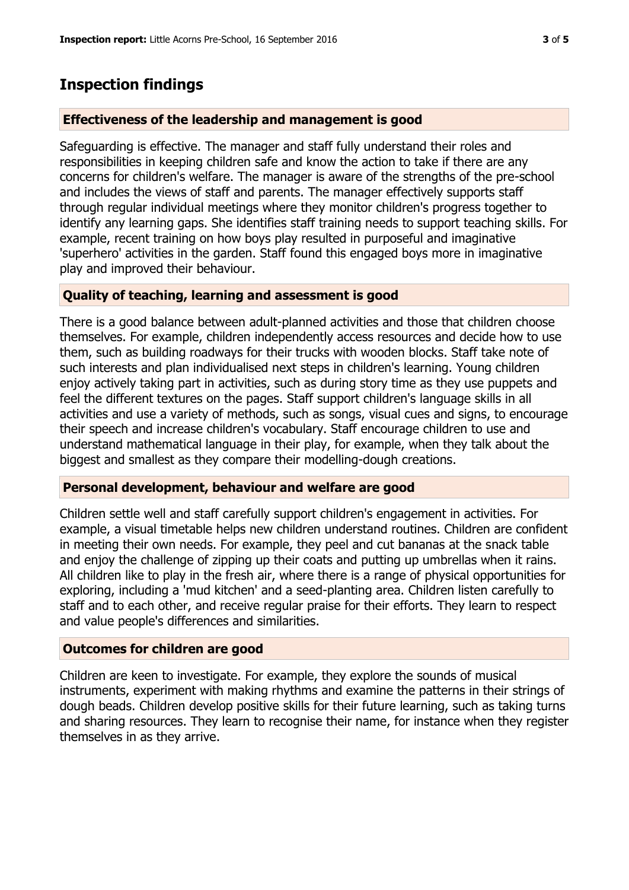# **Inspection findings**

#### **Effectiveness of the leadership and management is good**

Safeguarding is effective. The manager and staff fully understand their roles and responsibilities in keeping children safe and know the action to take if there are any concerns for children's welfare. The manager is aware of the strengths of the pre-school and includes the views of staff and parents. The manager effectively supports staff through regular individual meetings where they monitor children's progress together to identify any learning gaps. She identifies staff training needs to support teaching skills. For example, recent training on how boys play resulted in purposeful and imaginative 'superhero' activities in the garden. Staff found this engaged boys more in imaginative play and improved their behaviour.

#### **Quality of teaching, learning and assessment is good**

There is a good balance between adult-planned activities and those that children choose themselves. For example, children independently access resources and decide how to use them, such as building roadways for their trucks with wooden blocks. Staff take note of such interests and plan individualised next steps in children's learning. Young children enjoy actively taking part in activities, such as during story time as they use puppets and feel the different textures on the pages. Staff support children's language skills in all activities and use a variety of methods, such as songs, visual cues and signs, to encourage their speech and increase children's vocabulary. Staff encourage children to use and understand mathematical language in their play, for example, when they talk about the biggest and smallest as they compare their modelling-dough creations.

#### **Personal development, behaviour and welfare are good**

Children settle well and staff carefully support children's engagement in activities. For example, a visual timetable helps new children understand routines. Children are confident in meeting their own needs. For example, they peel and cut bananas at the snack table and enjoy the challenge of zipping up their coats and putting up umbrellas when it rains. All children like to play in the fresh air, where there is a range of physical opportunities for exploring, including a 'mud kitchen' and a seed-planting area. Children listen carefully to staff and to each other, and receive regular praise for their efforts. They learn to respect and value people's differences and similarities.

#### **Outcomes for children are good**

Children are keen to investigate. For example, they explore the sounds of musical instruments, experiment with making rhythms and examine the patterns in their strings of dough beads. Children develop positive skills for their future learning, such as taking turns and sharing resources. They learn to recognise their name, for instance when they register themselves in as they arrive.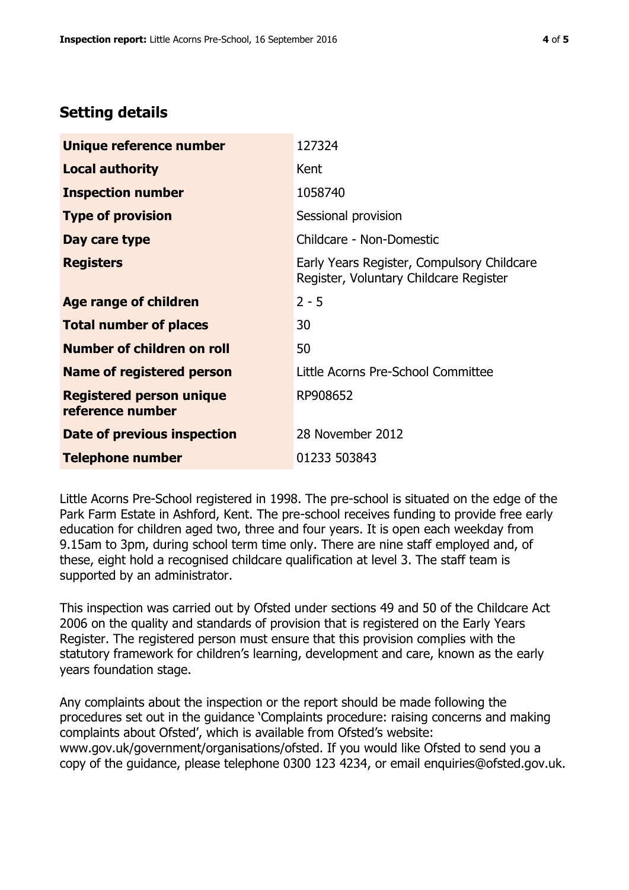# **Setting details**

| Unique reference number                             | 127324                                                                               |  |
|-----------------------------------------------------|--------------------------------------------------------------------------------------|--|
| <b>Local authority</b>                              | Kent                                                                                 |  |
| <b>Inspection number</b>                            | 1058740                                                                              |  |
| <b>Type of provision</b>                            | Sessional provision                                                                  |  |
| Day care type                                       | Childcare - Non-Domestic                                                             |  |
| <b>Registers</b>                                    | Early Years Register, Compulsory Childcare<br>Register, Voluntary Childcare Register |  |
| Age range of children                               | $2 - 5$                                                                              |  |
| <b>Total number of places</b>                       | 30                                                                                   |  |
| Number of children on roll                          | 50                                                                                   |  |
| Name of registered person                           | Little Acorns Pre-School Committee                                                   |  |
| <b>Registered person unique</b><br>reference number | RP908652                                                                             |  |
| Date of previous inspection                         | 28 November 2012                                                                     |  |
| <b>Telephone number</b>                             | 01233 503843                                                                         |  |

Little Acorns Pre-School registered in 1998. The pre-school is situated on the edge of the Park Farm Estate in Ashford, Kent. The pre-school receives funding to provide free early education for children aged two, three and four years. It is open each weekday from 9.15am to 3pm, during school term time only. There are nine staff employed and, of these, eight hold a recognised childcare qualification at level 3. The staff team is supported by an administrator.

This inspection was carried out by Ofsted under sections 49 and 50 of the Childcare Act 2006 on the quality and standards of provision that is registered on the Early Years Register. The registered person must ensure that this provision complies with the statutory framework for children's learning, development and care, known as the early years foundation stage.

Any complaints about the inspection or the report should be made following the procedures set out in the guidance 'Complaints procedure: raising concerns and making complaints about Ofsted', which is available from Ofsted's website: www.gov.uk/government/organisations/ofsted. If you would like Ofsted to send you a copy of the guidance, please telephone 0300 123 4234, or email enquiries@ofsted.gov.uk.